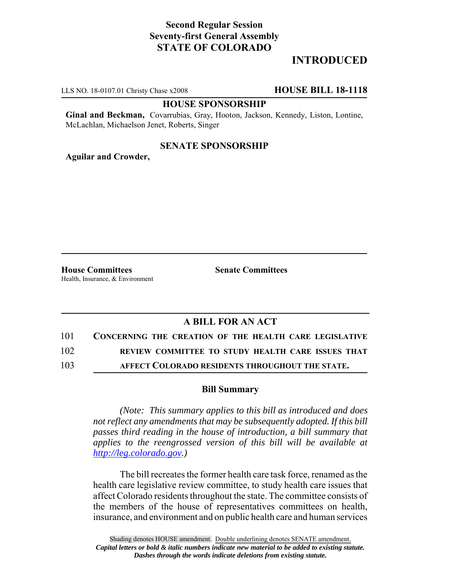# **Second Regular Session Seventy-first General Assembly STATE OF COLORADO**

# **INTRODUCED**

LLS NO. 18-0107.01 Christy Chase x2008 **HOUSE BILL 18-1118**

#### **HOUSE SPONSORSHIP**

**Ginal and Beckman,** Covarrubias, Gray, Hooton, Jackson, Kennedy, Liston, Lontine, McLachlan, Michaelson Jenet, Roberts, Singer

### **SENATE SPONSORSHIP**

**Aguilar and Crowder,**

**House Committees Senate Committees** Health, Insurance, & Environment

## **A BILL FOR AN ACT**

101 **CONCERNING THE CREATION OF THE HEALTH CARE LEGISLATIVE**

102 **REVIEW COMMITTEE TO STUDY HEALTH CARE ISSUES THAT**

103 **AFFECT COLORADO RESIDENTS THROUGHOUT THE STATE.**

## **Bill Summary**

*(Note: This summary applies to this bill as introduced and does not reflect any amendments that may be subsequently adopted. If this bill passes third reading in the house of introduction, a bill summary that applies to the reengrossed version of this bill will be available at http://leg.colorado.gov.)*

The bill recreates the former health care task force, renamed as the health care legislative review committee, to study health care issues that affect Colorado residents throughout the state. The committee consists of the members of the house of representatives committees on health, insurance, and environment and on public health care and human services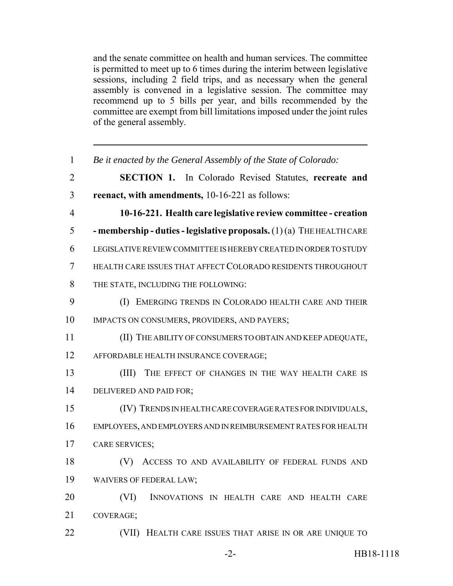and the senate committee on health and human services. The committee is permitted to meet up to 6 times during the interim between legislative sessions, including 2 field trips, and as necessary when the general assembly is convened in a legislative session. The committee may recommend up to 5 bills per year, and bills recommended by the committee are exempt from bill limitations imposed under the joint rules of the general assembly.

| $\mathbf{1}$   | Be it enacted by the General Assembly of the State of Colorado:         |
|----------------|-------------------------------------------------------------------------|
| $\overline{2}$ | <b>SECTION 1.</b><br>In Colorado Revised Statutes, recreate and         |
| 3              | reenact, with amendments, 10-16-221 as follows:                         |
| $\overline{4}$ | 10-16-221. Health care legislative review committee - creation          |
| 5              | - membership - duties - legislative proposals. $(1)(a)$ THE HEALTH CARE |
| 6              | LEGISLATIVE REVIEW COMMITTEE IS HEREBY CREATED IN ORDER TO STUDY        |
| $\tau$         | HEALTH CARE ISSUES THAT AFFECT COLORADO RESIDENTS THROUGHOUT            |
| 8              | THE STATE, INCLUDING THE FOLLOWING:                                     |
| 9              | (I) EMERGING TRENDS IN COLORADO HEALTH CARE AND THEIR                   |
| 10             | IMPACTS ON CONSUMERS, PROVIDERS, AND PAYERS;                            |
| 11             | (II) THE ABILITY OF CONSUMERS TO OBTAIN AND KEEP ADEQUATE,              |
| 12             | AFFORDABLE HEALTH INSURANCE COVERAGE;                                   |
| 13             | (III) THE EFFECT OF CHANGES IN THE WAY HEALTH CARE IS                   |
| 14             | DELIVERED AND PAID FOR;                                                 |
| 15             | (IV) TRENDS IN HEALTH CARE COVERAGE RATES FOR INDIVIDUALS,              |
| 16             | EMPLOYEES, AND EMPLOYERS AND IN REIMBURSEMENT RATES FOR HEALTH          |
| 17             | <b>CARE SERVICES;</b>                                                   |
| 18             | ACCESS TO AND AVAILABILITY OF FEDERAL FUNDS AND<br>(V)                  |
| 19             | <b>WAIVERS OF FEDERAL LAW;</b>                                          |
| 20             | (VI)<br>INNOVATIONS IN HEALTH CARE AND HEALTH CARE                      |
| 21             | COVERAGE;                                                               |
| 22             | HEALTH CARE ISSUES THAT ARISE IN OR ARE UNIQUE TO<br>(VII)              |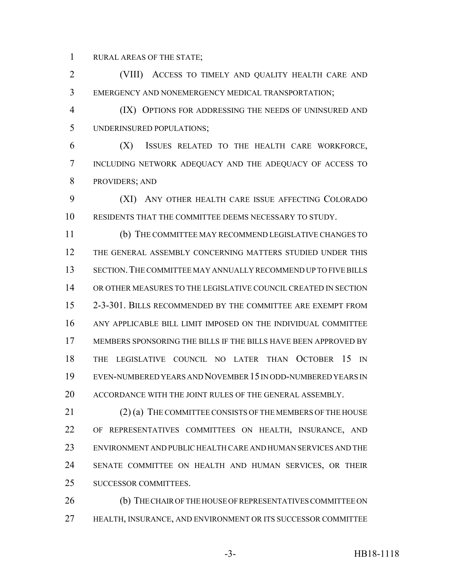RURAL AREAS OF THE STATE;

 (VIII) ACCESS TO TIMELY AND QUALITY HEALTH CARE AND EMERGENCY AND NONEMERGENCY MEDICAL TRANSPORTATION;

 (IX) OPTIONS FOR ADDRESSING THE NEEDS OF UNINSURED AND UNDERINSURED POPULATIONS;

 (X) ISSUES RELATED TO THE HEALTH CARE WORKFORCE, INCLUDING NETWORK ADEQUACY AND THE ADEQUACY OF ACCESS TO PROVIDERS; AND

 (XI) ANY OTHER HEALTH CARE ISSUE AFFECTING COLORADO RESIDENTS THAT THE COMMITTEE DEEMS NECESSARY TO STUDY.

 (b) THE COMMITTEE MAY RECOMMEND LEGISLATIVE CHANGES TO THE GENERAL ASSEMBLY CONCERNING MATTERS STUDIED UNDER THIS SECTION.THE COMMITTEE MAY ANNUALLY RECOMMEND UP TO FIVE BILLS OR OTHER MEASURES TO THE LEGISLATIVE COUNCIL CREATED IN SECTION 2-3-301. BILLS RECOMMENDED BY THE COMMITTEE ARE EXEMPT FROM ANY APPLICABLE BILL LIMIT IMPOSED ON THE INDIVIDUAL COMMITTEE MEMBERS SPONSORING THE BILLS IF THE BILLS HAVE BEEN APPROVED BY THE LEGISLATIVE COUNCIL NO LATER THAN OCTOBER 15 IN EVEN-NUMBERED YEARS AND NOVEMBER 15 IN ODD-NUMBERED YEARS IN ACCORDANCE WITH THE JOINT RULES OF THE GENERAL ASSEMBLY.

21 (2) (a) THE COMMITTEE CONSISTS OF THE MEMBERS OF THE HOUSE OF REPRESENTATIVES COMMITTEES ON HEALTH, INSURANCE, AND ENVIRONMENT AND PUBLIC HEALTH CARE AND HUMAN SERVICES AND THE SENATE COMMITTEE ON HEALTH AND HUMAN SERVICES, OR THEIR SUCCESSOR COMMITTEES.

26 (b) THE CHAIR OF THE HOUSE OF REPRESENTATIVES COMMITTEE ON HEALTH, INSURANCE, AND ENVIRONMENT OR ITS SUCCESSOR COMMITTEE